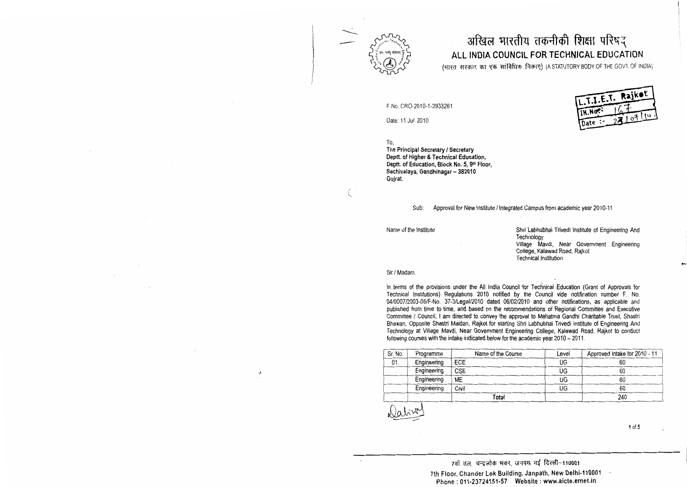

## अखिल भारतीय तकनीकी शिक्षा परिषद् ALL INDIA COUNCIL FOR TECHNICAL EDUCATION

(भारत, सरकार, का एक सांविधिक निकाए) (A STATUTORY BODY OF THE GOVT. OF INDIA)

F.No. CRO-2010-1-2933261

Date: 11 Jul' 2010

To,

The Principal Secretary / Secretary Deptt. of Higher & Technical Education. Deptt. of Education, Block No. 5, 9th Floor, Sachivalaya, Gandhinagar - 382010 Guirat.

> Sub: Approval for New Institute / Integrated Campus from academic year 2010-11

Name of the Institute

Shri Labhubhai Trivedi Institute of Engineering And Technology Village Mavdi, Near Government Engineering College, Kalawad Road, Raikot **Technical Institution** 

T.I.E.T. Rajkot

IN.Nor-

Date :-

Sir / Madam.

In terms of the provisions under the All India Council for Technical Education (Grant of Approvals for Technical Institutions) Regulations 2010 notified by the Council vide notification number F. No. 04/0007/2003-05/F-No. 37-3/Legal/2010 dated 06/02/2010 and other notifications, as applicable and published from time to time, and based on the recommendations of Regional Committee and Executive Committee / Council, I am directed to convey the approval to Mahatma Gandhi Charitable Trust. Shastri Bhawan, Opposite Shastri Maidan, Rajkot for starting Shri Labhubhai Trivedi Institute of Engineering And Technology at Village Mavdi, Near Government Engineering College, Kalawad Road, Rajkot to conduct following courses with the intake indicated below for the academic year 2010 - 2011.

| Sr. No. | Programme   | Name of the Course | Level | Approved Intake for 2010 - 11 |
|---------|-------------|--------------------|-------|-------------------------------|
| 01.     | Engineering | <b>ECE</b>         | UG    | 60                            |
|         | Engineering | <b>CSE</b>         | UG    | 60                            |
|         | Engineering | <b>ME</b>          | UG    | 60                            |
|         | Engineering | Civil              | UG    | 60                            |
|         |             | Total              |       | 240                           |

 $1 of 5$ 

ĵ.

7वाँ तल, चन्द्रलोक भवन, जनपथ नई दिल्ली-110001 7th Floor, Chander Lok Building, Janpath, New Delhi-110001 Phone: 011-23724151-57 Website: www.aicte.ernet.in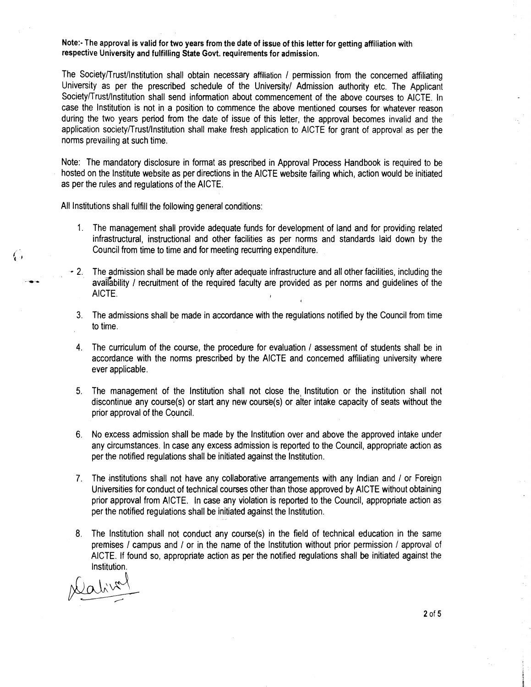**Note:. The approval is valid for two years from the date of issue of this letter for getting affiliation with respective University and fulfilling State Govt. requirements for admission.** 

The Society/Trust/Institution shall obtain necessary affiliation / permission from the concerned affiliating University as per the prescribed schedule of the University/ Admission authority etc. The Applicant Society/Trust/Institution shall send information about commencement of the above courses to AICTE. In case the lnstitution is not in a position to commence the above mentioned courses for whatever reason during the two years period from the date of issue of this letter, the approval becomes invalid and the application society/Trust/lnstitution shall make fresh application to AICTE for grant of approval as per the norms prevailing at such time.

Note: The mandatory disclosure in format as prescribed in Approval Process Handbook is required to be hosted on the Institute website as per directions in the AICTE website failing which, action would be initiated as per the rules and regulations of the AICTE.

All Institutions shall fulfill the following general conditions:

- 1. The management shall provide adequate funds for development of land and for providing related infrastructural, instructional and other facilities as per norms and standards laid down by the Council from time to time and for meeting recurring expenditure.
- 2. The admission shall be made only after adequate infrastructure and all other facilities, including the availability / recruitment of the required faculty are provided as per norms and guidelines of the AICTE.
	- 3. The admissions shall be made in accordance with the regulations notified by the Council from time to time.
	- 4. The curriculum of the course, the procedure for evaluation / assessment of students shall be in accordance with the norms prescribed by the AICTE and concemed affiliating university where ever applicable.
	- 5. The management of the lnstitution shall not close the, lnstitution or the institution shall not discontinue any course(s) or start any new course(s) or alter intake capacity of seats without the prior approval of the Council.
	- 6. No excess admission shall be made by the lnstitution over and above the approved intake under any circumstances. In case any excess admission is reported to the Council, appropriate action as per the notified regulations shall be initiated against the Institution.
- 7. The institutions shall not have any collaborative arrangements with any Indian and / or Foreign Universities for conduct of technical courses other than those approved by AICTE without obtaining prior approval from AICTE. In case any violation is reported to the Council, appropriate action as per the notified regulations shall be initiated against the Institution.
- 8. The lnstitution shall not conduct any course(s) in the field of technical education in the same premises / campus and / or in the name of the Institution without prior permission / approval of AICTE. If found so, appropriate action as per the notified regulations shall be initiated against the lnstitution.

Ç.,

 $2$  of 5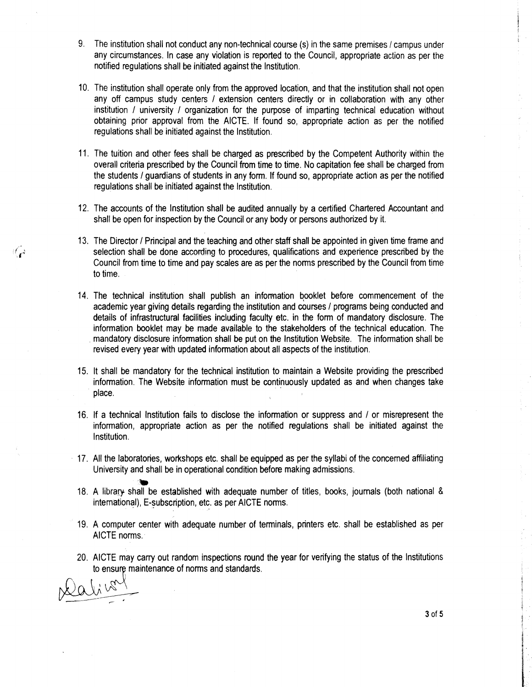- 9. The institution shall not conduct any non-technical course (s) in the same premises / campus under any circumstances. In case any violation is reported to the Council, appropriate action as per the notified regulations shall be initiated against the Institution.
- 10. The institution shall operate orlly from the approved location, and that the institution shall not open any off campus study centers *I* extension centers directly or in collaboration with any other institution / university / organization for the purpose of imparting technical education without obtaining prior approval from the AICTE. If found so, appropriate action as per the notified regulations shall be initiated against the Institution.
- 11. The tuition and other fees shall be charged as prescribed by the Competent Authority within the overall criteria prescribed by the Council from time to time. No capitation fee shall be charged from the students *I* guardians of students in any form. If found so, appropriate action as per the notified regulations shall be initiated against the Institution.
- 12. The accounts of the lnstitution shall be audited annually by a certified Chartered Accountant and shall be open for inspection by the Council or any body or persons authorized by it.
- 13. The Director / Principal and the teaching and other staff shall be appointed in given time frame and selection shall be done according to procedures, qualifications and experience prescribed by the Council from time to time and pay scales are as per the norms prescribed by the Council from time to time.
- 14. The technical institution shall publish an information bpoklet before commencement of the academic year giving details regarding the institution and courses / programs being conducted and details of infrastructural facilities including faculty etc, in the form of mandatory disclosure. The information booklet may be made available to the stakeholders of the technical education. The mandatory disclosure information shall be put on the lnstitution Website. The information shall be revised every year with updated information about all aspects of the institution.
- 15. It shall be mandatory for the technical institution to maintain a Website providing the prescribed information. The Website information must be continuously updated as and when changes take place.
- 16. If a technical Institution fails to disclose the information or suppress and / or misrepresent the information, appropriate action as per the notified regulations shall be initiated against the Institution.
- 17. All the laboratories, workshops etc. shall be equipped as per the syllabi of the concerned affiliating University and shall be in operational condition before making admissions.
- **w**  18. A library shall be established with adequate number of titles, books, journals (both national & international), E-subscription, etc, as per AICTE norms.
- 19. A computer center with adequate number of terminals, printers etc, shall be established as per AICTE norms.
- 20. AICTE may carry out random inspections round the year for verifying the status of the Institutions to ensure maintenance of norms and standards.

نیم کا

3 of 5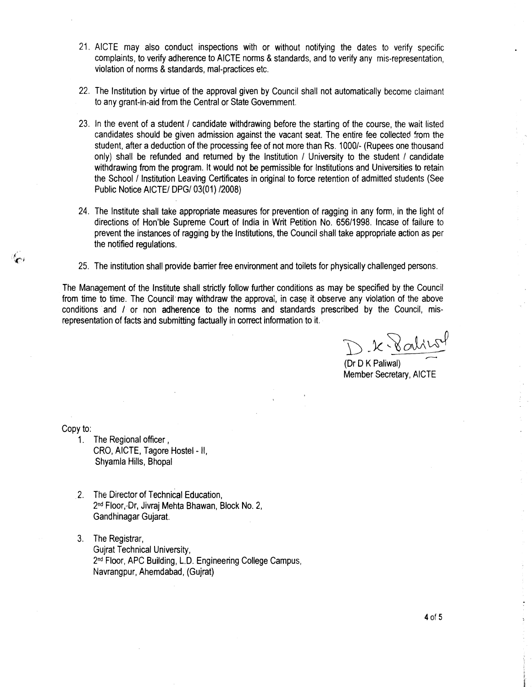- 21. AICTE may also conduct inspections with or without notifying the dates to verify specific complaints, to verify adherence to AICTE norms & standards, and to verify any mis-representation, violation of norms & standards, mal-practices etc.
- 22. The Institution by virtue of the approval given by Council shall not automatically become claimant to any grant-in-aid from the Central or State Government.
- 23. In the event of a student / candidate withdrawing before the starting of the course, the wait listed candidates should be given admission against the vacant seat. The entire fee collected from the student, after a deduction of the processing fee of not more than Rs. 10001- (Rupees one thousand only) shall be refunded and returned by the Institution / University to the student / candidate withdrawing from the program. It would not be permissible for Institutions and Universities to retain the School I Institution Leaving Certificates in original to force retention of admitted students (See Public Notice AICTE/ DPG/ 03(01) /2008)
- 24. The Institute shall take appropriate measures for prevention of ragging in any form, in the light of directions of Hon'ble Supreme Court of India in Writ Petition No. 65611998. Incase of failure to prevent the instances of ragging by the Institutions, the Council shall take appropriate action as per the notified regulations.
- 25. The institution shall provide barrier free environment and toilets for physically challenged persons.

The Management of the Institute shall strictly follow further conditions as may be specified by the Council from time to time. The Council may withdraw the approval, in case it observe any violation of the above conditions and / or non adherence to the norms and standards prescribed by the Council, misrepresentation of facts and submitting factually in correct information to it.

 $x - x$  alice

(Dr D K Paliwal) Member Secretary, AICTE

Copy to:

- 1. The Regional officer , CRO, AICTE, Tagore Hostel - II, Shyamla Hills, Bhopal
- 2. The Director of Technical Education, 2<sup>nd</sup> Floor,-Dr, Jivraj Mehta Bhawan, Block No. 2, Gandhinagar Gujarat.
- 3. The Registrar, Gujrat Technical University, 2<sup>nd</sup> Floor, APC Building, L.D. Engineering College Campus, Navrangpur, Aherndabad, (Gujrat)